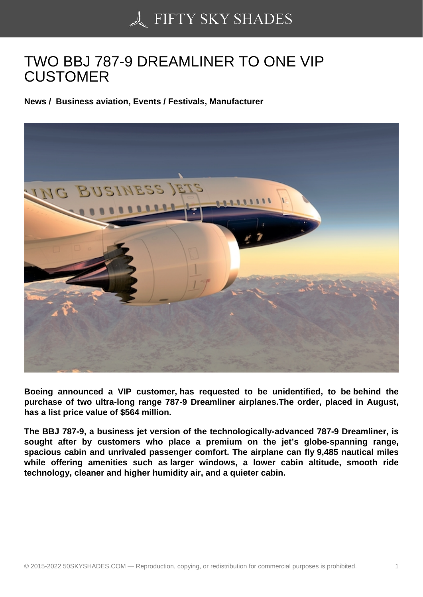## [TWO BBJ 787-9 DREA](https://50skyshades.com)MLINER TO ONE VIP **CUSTOMER**

News / Business aviation, Events / Festivals, Manufacturer

Boeing announced a VIP customer, has requested to be unidentified, to be behind the purchase of two ultra-long range 787-9 Dreamliner airplanes.The order, placed in August, has a list price value of \$564 million.

The BBJ 787-9, a business jet version of the technologically-advanced 787-9 Dreamliner, is sought after by customers who place a premium on the jet's globe-spanning range, spacious cabin and unrivaled passenger comfort. The airplane can fly 9,485 nautical miles while offering amenities such as larger windows, a lower cabin altitude, smooth ride technology, cleaner and higher humidity air, and a quieter cabin.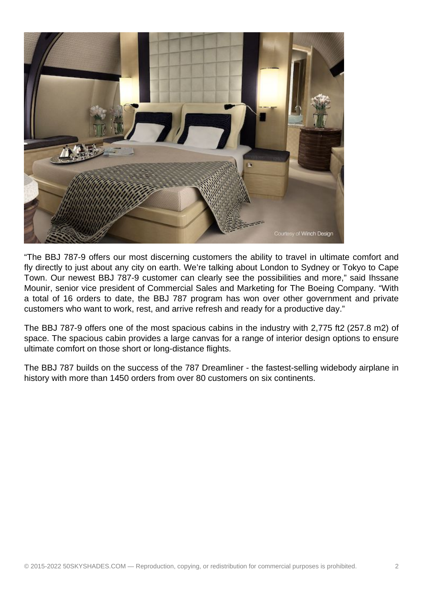

"The BBJ 787-9 offers our most discerning customers the ability to travel in ultimate comfort and fly directly to just about any city on earth. We're talking about London to Sydney or Tokyo to Cape Town. Our newest BBJ 787-9 customer can clearly see the possibilities and more," said Ihssane Mounir, senior vice president of Commercial Sales and Marketing for The Boeing Company. "With a total of 16 orders to date, the BBJ 787 program has won over other government and private customers who want to work, rest, and arrive refresh and ready for a productive day."

The BBJ 787-9 offers one of the most spacious cabins in the industry with 2,775 ft2 (257.8 m2) of space. The spacious cabin provides a large canvas for a range of interior design options to ensure ultimate comfort on those short or long-distance flights.

The BBJ 787 builds on the success of the 787 Dreamliner - the fastest-selling widebody airplane in history with more than 1450 orders from over 80 customers on six continents.